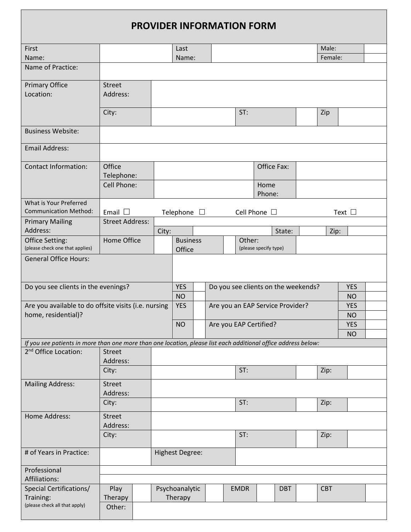|                                                                                                                | <b>PROVIDER INFORMATION FORM</b> |       |                                     |         |  |  |             |                       |                                     |  |            |                         |  |
|----------------------------------------------------------------------------------------------------------------|----------------------------------|-------|-------------------------------------|---------|--|--|-------------|-----------------------|-------------------------------------|--|------------|-------------------------|--|
| First                                                                                                          |                                  |       | Last                                |         |  |  |             |                       |                                     |  | Male:      |                         |  |
| Name:                                                                                                          |                                  |       | Name:                               |         |  |  |             |                       |                                     |  | Female:    |                         |  |
| Name of Practice:                                                                                              |                                  |       |                                     |         |  |  |             |                       |                                     |  |            |                         |  |
| <b>Primary Office</b>                                                                                          | <b>Street</b>                    |       |                                     |         |  |  |             |                       |                                     |  |            |                         |  |
| Location:                                                                                                      | Address:                         |       |                                     |         |  |  |             |                       |                                     |  |            |                         |  |
|                                                                                                                | City:                            |       |                                     |         |  |  | ST:         |                       |                                     |  | Zip        |                         |  |
| <b>Business Website:</b>                                                                                       |                                  |       |                                     |         |  |  |             |                       |                                     |  |            |                         |  |
| <b>Email Address:</b>                                                                                          |                                  |       |                                     |         |  |  |             |                       |                                     |  |            |                         |  |
| <b>Contact Information:</b>                                                                                    | Office<br>Telephone:             |       |                                     |         |  |  |             |                       | Office Fax:                         |  |            |                         |  |
|                                                                                                                | Cell Phone:                      |       |                                     |         |  |  |             | Home<br>Phone:        |                                     |  |            |                         |  |
| What is Your Preferred                                                                                         |                                  |       |                                     |         |  |  |             |                       |                                     |  |            |                         |  |
| <b>Communication Method:</b>                                                                                   | Email $\square$                  |       | Telephone                           | $\perp$ |  |  |             | Cell Phone $\Box$     |                                     |  |            | Text $\Box$             |  |
| <b>Primary Mailing</b>                                                                                         | <b>Street Address:</b>           |       |                                     |         |  |  |             |                       |                                     |  |            |                         |  |
| Address:                                                                                                       |                                  | City: |                                     |         |  |  |             |                       | State:                              |  | Zip:       |                         |  |
| Office Setting:<br>(please check one that applies)                                                             | Home Office                      |       | <b>Business</b><br>Office           |         |  |  | Other:      | (please specify type) |                                     |  |            |                         |  |
| <b>General Office Hours:</b>                                                                                   |                                  |       |                                     |         |  |  |             |                       |                                     |  |            |                         |  |
| Do you see clients in the evenings?                                                                            |                                  |       | <b>YES</b><br><b>NO</b>             |         |  |  |             |                       | Do you see clients on the weekends? |  |            | <b>YES</b><br><b>NO</b> |  |
| Are you available to do offsite visits (i.e. nursing                                                           |                                  |       | <b>YES</b>                          |         |  |  |             |                       | Are you an EAP Service Provider?    |  |            | <b>YES</b>              |  |
| home, residential)?                                                                                            |                                  |       |                                     |         |  |  |             |                       |                                     |  |            | <b>NO</b>               |  |
|                                                                                                                |                                  |       | <b>NO</b><br>Are you EAP Certified? |         |  |  |             |                       | <b>YES</b><br><b>NO</b>             |  |            |                         |  |
| If you see patients in more than one more than one location, please list each additional office address below: |                                  |       |                                     |         |  |  |             |                       |                                     |  |            |                         |  |
| 2 <sup>nd</sup> Office Location:                                                                               | <b>Street</b><br>Address:        |       |                                     |         |  |  |             |                       |                                     |  |            |                         |  |
|                                                                                                                | City:                            |       |                                     |         |  |  | ST:         |                       |                                     |  | Zip:       |                         |  |
| <b>Mailing Address:</b>                                                                                        | <b>Street</b><br>Address:        |       |                                     |         |  |  |             |                       |                                     |  |            |                         |  |
|                                                                                                                | City:                            |       |                                     |         |  |  | ST:         |                       |                                     |  | Zip:       |                         |  |
| Home Address:                                                                                                  | <b>Street</b><br>Address:        |       |                                     |         |  |  |             |                       |                                     |  |            |                         |  |
|                                                                                                                | City:                            |       |                                     |         |  |  | ST:         |                       |                                     |  | Zip:       |                         |  |
| # of Years in Practice:                                                                                        |                                  |       | <b>Highest Degree:</b>              |         |  |  |             |                       |                                     |  |            |                         |  |
| Professional                                                                                                   |                                  |       |                                     |         |  |  |             |                       |                                     |  |            |                         |  |
| Affiliations:                                                                                                  |                                  |       |                                     |         |  |  |             |                       |                                     |  |            |                         |  |
| Special Certifications/<br>Training:                                                                           | Play<br>Therapy                  |       | Psychoanalytic<br>Therapy           |         |  |  | <b>EMDR</b> |                       | <b>DBT</b>                          |  | <b>CBT</b> |                         |  |
| (please check all that apply)                                                                                  | Other:                           |       |                                     |         |  |  |             |                       |                                     |  |            |                         |  |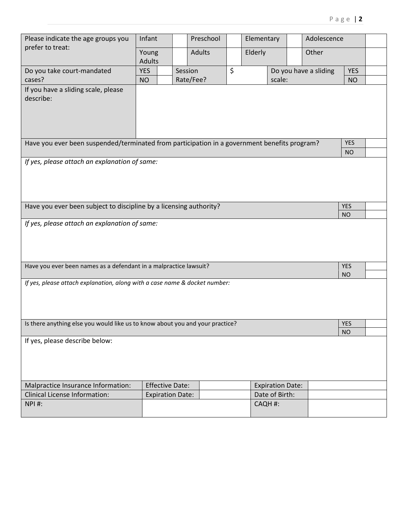| Please indicate the age groups you                                                           | Infant<br><b>Adults</b><br>Young<br><b>Adults</b> |                      | Preschool |         | Elementary                      |                         | Adolescence             |                         |  |
|----------------------------------------------------------------------------------------------|---------------------------------------------------|----------------------|-----------|---------|---------------------------------|-------------------------|-------------------------|-------------------------|--|
| prefer to treat:                                                                             |                                                   |                      |           |         | Elderly                         |                         | Other                   |                         |  |
| Do you take court-mandated<br>cases?                                                         | <b>YES</b><br><b>NO</b>                           | Session<br>Rate/Fee? |           | $\zeta$ | Do you have a sliding<br>scale: |                         |                         | <b>YES</b><br><b>NO</b> |  |
| If you have a sliding scale, please<br>describe:                                             |                                                   |                      |           |         |                                 |                         |                         |                         |  |
| Have you ever been suspended/terminated from participation in a government benefits program? |                                                   |                      |           |         |                                 |                         |                         | <b>YES</b><br><b>NO</b> |  |
| If yes, please attach an explanation of same:                                                |                                                   |                      |           |         |                                 |                         |                         |                         |  |
| Have you ever been subject to discipline by a licensing authority?                           |                                                   |                      |           |         |                                 |                         | <b>YES</b><br><b>NO</b> |                         |  |
| If yes, please attach an explanation of same:                                                |                                                   |                      |           |         |                                 |                         |                         |                         |  |
| Have you ever been names as a defendant in a malpractice lawsuit?                            |                                                   |                      |           |         |                                 | <b>YES</b><br><b>NO</b> |                         |                         |  |
| If yes, please attach explanation, along with a case name & docket number:                   |                                                   |                      |           |         |                                 |                         |                         |                         |  |
| Is there anything else you would like us to know about you and your practice?                |                                                   |                      |           |         |                                 |                         | <b>YES</b><br><b>NO</b> |                         |  |
| If yes, please describe below:                                                               |                                                   |                      |           |         |                                 |                         |                         |                         |  |
| Malpractice Insurance Information:                                                           | <b>Effective Date:</b><br><b>Expiration Date:</b> |                      |           |         |                                 |                         |                         |                         |  |
| <b>Clinical License Information:</b><br>NPI#:                                                | <b>Expiration Date:</b>                           |                      |           |         | CAQH #:                         | Date of Birth:          |                         |                         |  |